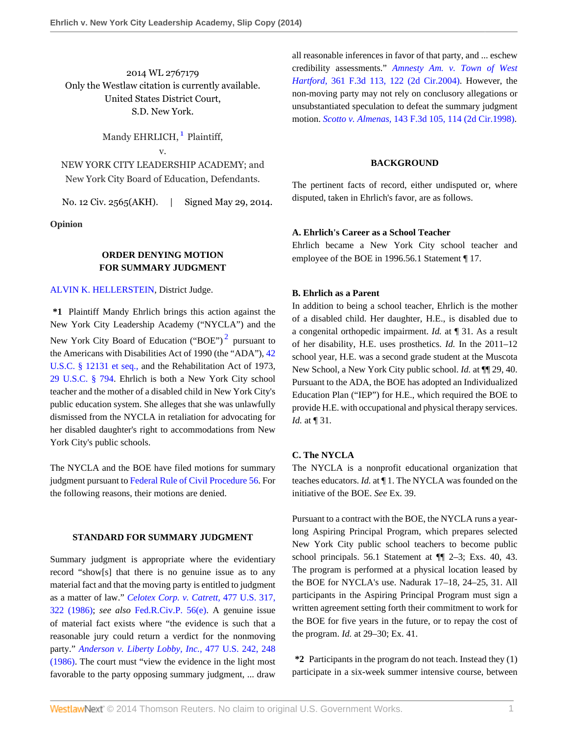2014 WL 2767179 Only the Westlaw citation is currently available. United States District Court, S.D. New York.

<span id="page-0-0"></span>Mandy EHRLICH, <sup>[1](#page-6-0)</sup> Plaintiff, v. NEW YORK CITY LEADERSHIP ACADEMY; and

New York City Board of Education, Defendants.

No. 12 Civ. 2565(AKH). | Signed May 29, 2014.

**Opinion**

## **ORDER DENYING MOTION FOR SUMMARY JUDGMENT**

### [ALVIN K. HELLERSTEIN](http://www.westlaw.com/Link/Document/FullText?findType=h&pubNum=176284&cite=0116863401&originatingDoc=I189d39d8f79d11e3b86bd602cb8781fa&refType=RQ&originationContext=document&vr=3.0&rs=cblt1.0&transitionType=DocumentItem&contextData=(sc.Search)), District Judge.

**\*1** Plaintiff Mandy Ehrlich brings this action against the New York City Leadership Academy ("NYCLA") and the New York City Board of Education ("BOE")<sup>[2](#page-7-0)</sup> pursuant to the Americans with Disabilities Act of 1990 (the "ADA"), [42](http://www.westlaw.com/Link/Document/FullText?findType=L&pubNum=1000546&cite=42USCAS12131&originatingDoc=I189d39d8f79d11e3b86bd602cb8781fa&refType=LQ&originationContext=document&vr=3.0&rs=cblt1.0&transitionType=DocumentItem&contextData=(sc.Search)) [U.S.C. § 12131 et seq.,](http://www.westlaw.com/Link/Document/FullText?findType=L&pubNum=1000546&cite=42USCAS12131&originatingDoc=I189d39d8f79d11e3b86bd602cb8781fa&refType=LQ&originationContext=document&vr=3.0&rs=cblt1.0&transitionType=DocumentItem&contextData=(sc.Search)) and the Rehabilitation Act of 1973, [29 U.S.C. § 794.](http://www.westlaw.com/Link/Document/FullText?findType=L&pubNum=1000546&cite=29USCAS794&originatingDoc=I189d39d8f79d11e3b86bd602cb8781fa&refType=LQ&originationContext=document&vr=3.0&rs=cblt1.0&transitionType=DocumentItem&contextData=(sc.Search)) Ehrlich is both a New York City school teacher and the mother of a disabled child in New York City's public education system. She alleges that she was unlawfully dismissed from the NYCLA in retaliation for advocating for her disabled daughter's right to accommodations from New York City's public schools.

The NYCLA and the BOE have filed motions for summary judgment pursuant to [Federal Rule of Civil Procedure 56.](http://www.westlaw.com/Link/Document/FullText?findType=L&pubNum=1004365&cite=USFRCPR56&originatingDoc=I189d39d8f79d11e3b86bd602cb8781fa&refType=LQ&originationContext=document&vr=3.0&rs=cblt1.0&transitionType=DocumentItem&contextData=(sc.Search)) For the following reasons, their motions are denied.

#### **STANDARD FOR SUMMARY JUDGMENT**

Summary judgment is appropriate where the evidentiary record "show[s] that there is no genuine issue as to any material fact and that the moving party is entitled to judgment as a matter of law." *[Celotex Corp. v. Catrett,](http://www.westlaw.com/Link/Document/FullText?findType=Y&serNum=1986132677&pubNum=780&fi=co_pp_sp_780_322&originationContext=document&vr=3.0&rs=cblt1.0&transitionType=DocumentItem&contextData=(sc.Search)#co_pp_sp_780_322)* 477 U.S. 317, [322 \(1986\)](http://www.westlaw.com/Link/Document/FullText?findType=Y&serNum=1986132677&pubNum=780&fi=co_pp_sp_780_322&originationContext=document&vr=3.0&rs=cblt1.0&transitionType=DocumentItem&contextData=(sc.Search)#co_pp_sp_780_322); *see also* [Fed.R.Civ.P. 56\(e\).](http://www.westlaw.com/Link/Document/FullText?findType=L&pubNum=1004365&cite=USFRCPR56&originatingDoc=I189d39d8f79d11e3b86bd602cb8781fa&refType=LQ&originationContext=document&vr=3.0&rs=cblt1.0&transitionType=DocumentItem&contextData=(sc.Search)) A genuine issue of material fact exists where "the evidence is such that a reasonable jury could return a verdict for the nonmoving party." *[Anderson v. Liberty Lobby, Inc.,](http://www.westlaw.com/Link/Document/FullText?findType=Y&serNum=1986132674&pubNum=780&fi=co_pp_sp_780_248&originationContext=document&vr=3.0&rs=cblt1.0&transitionType=DocumentItem&contextData=(sc.Search)#co_pp_sp_780_248)* 477 U.S. 242, 248 [\(1986\).](http://www.westlaw.com/Link/Document/FullText?findType=Y&serNum=1986132674&pubNum=780&fi=co_pp_sp_780_248&originationContext=document&vr=3.0&rs=cblt1.0&transitionType=DocumentItem&contextData=(sc.Search)#co_pp_sp_780_248) The court must "view the evidence in the light most favorable to the party opposing summary judgment, ... draw all reasonable inferences in favor of that party, and ... eschew credibility assessments." *[Amnesty Am. v. Town of West](http://www.westlaw.com/Link/Document/FullText?findType=Y&serNum=2004222229&pubNum=506&fi=co_pp_sp_506_122&originationContext=document&vr=3.0&rs=cblt1.0&transitionType=DocumentItem&contextData=(sc.Search)#co_pp_sp_506_122) Hartford,* [361 F.3d 113, 122 \(2d Cir.2004\).](http://www.westlaw.com/Link/Document/FullText?findType=Y&serNum=2004222229&pubNum=506&fi=co_pp_sp_506_122&originationContext=document&vr=3.0&rs=cblt1.0&transitionType=DocumentItem&contextData=(sc.Search)#co_pp_sp_506_122) However, the non-moving party may not rely on conclusory allegations or unsubstantiated speculation to defeat the summary judgment motion. *Scotto v. Almenas,* [143 F.3d 105, 114 \(2d Cir.1998\).](http://www.westlaw.com/Link/Document/FullText?findType=Y&serNum=1998101601&pubNum=506&fi=co_pp_sp_506_114&originationContext=document&vr=3.0&rs=cblt1.0&transitionType=DocumentItem&contextData=(sc.Search)#co_pp_sp_506_114)

#### **BACKGROUND**

The pertinent facts of record, either undisputed or, where disputed, taken in Ehrlich's favor, are as follows.

### **A. Ehrlich's Career as a School Teacher**

Ehrlich became a New York City school teacher and employee of the BOE in 1996.56.1 Statement ¶ 17.

#### **B. Ehrlich as a Parent**

<span id="page-0-1"></span>In addition to being a school teacher, Ehrlich is the mother of a disabled child. Her daughter, H.E., is disabled due to a congenital orthopedic impairment. *Id.* at ¶ 31. As a result of her disability, H.E. uses prosthetics. *Id.* In the 2011–12 school year, H.E. was a second grade student at the Muscota New School, a New York City public school. *Id.* at ¶¶ 29, 40. Pursuant to the ADA, the BOE has adopted an Individualized Education Plan ("IEP") for H.E., which required the BOE to provide H.E. with occupational and physical therapy services. *Id.* at ¶ 31.

### **C. The NYCLA**

The NYCLA is a nonprofit educational organization that teaches educators. *Id.* at ¶ 1. The NYCLA was founded on the initiative of the BOE. *See* Ex. 39.

Pursuant to a contract with the BOE, the NYCLA runs a yearlong Aspiring Principal Program, which prepares selected New York City public school teachers to become public school principals. 56.1 Statement at ¶¶ 2–3; Exs. 40, 43. The program is performed at a physical location leased by the BOE for NYCLA's use. Nadurak 17–18, 24–25, 31. All participants in the Aspiring Principal Program must sign a written agreement setting forth their commitment to work for the BOE for five years in the future, or to repay the cost of the program. *Id.* at 29–30; Ex. 41.

**\*2** Participants in the program do not teach. Instead they (1) participate in a six-week summer intensive course, between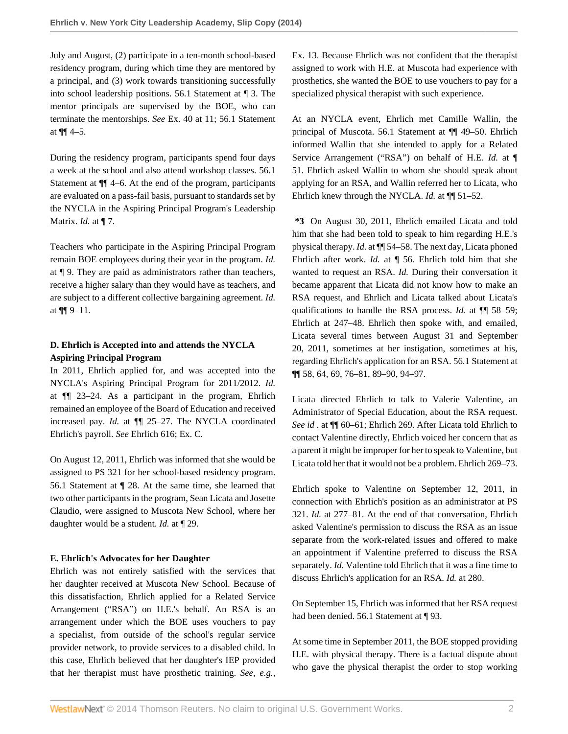July and August, (2) participate in a ten-month school-based residency program, during which time they are mentored by a principal, and (3) work towards transitioning successfully into school leadership positions. 56.1 Statement at ¶ 3. The mentor principals are supervised by the BOE, who can terminate the mentorships. *See* Ex. 40 at 11; 56.1 Statement at  $\P\P$  4–5.

During the residency program, participants spend four days a week at the school and also attend workshop classes. 56.1 Statement at ¶¶ 4–6. At the end of the program, participants are evaluated on a pass-fail basis, pursuant to standards set by the NYCLA in the Aspiring Principal Program's Leadership Matrix. *Id.* at ¶ 7.

Teachers who participate in the Aspiring Principal Program remain BOE employees during their year in the program. *Id.* at ¶ 9. They are paid as administrators rather than teachers, receive a higher salary than they would have as teachers, and are subject to a different collective bargaining agreement. *Id.* at ¶¶ 9–11.

# **D. Ehrlich is Accepted into and attends the NYCLA Aspiring Principal Program**

In 2011, Ehrlich applied for, and was accepted into the NYCLA's Aspiring Principal Program for 2011/2012. *Id.* at ¶¶ 23–24. As a participant in the program, Ehrlich remained an employee of the Board of Education and received increased pay. *Id.* at ¶¶ 25–27. The NYCLA coordinated Ehrlich's payroll. *See* Ehrlich 616; Ex. C.

On August 12, 2011, Ehrlich was informed that she would be assigned to PS 321 for her school-based residency program. 56.1 Statement at ¶ 28. At the same time, she learned that two other participants in the program, Sean Licata and Josette Claudio, were assigned to Muscota New School, where her daughter would be a student. *Id.* at ¶ 29.

## **E. Ehrlich's Advocates for her Daughter**

Ehrlich was not entirely satisfied with the services that her daughter received at Muscota New School. Because of this dissatisfaction, Ehrlich applied for a Related Service Arrangement ("RSA") on H.E.'s behalf. An RSA is an arrangement under which the BOE uses vouchers to pay a specialist, from outside of the school's regular service provider network, to provide services to a disabled child. In this case, Ehrlich believed that her daughter's IEP provided that her therapist must have prosthetic training. *See, e.g.,*

Ex. 13. Because Ehrlich was not confident that the therapist assigned to work with H.E. at Muscota had experience with prosthetics, she wanted the BOE to use vouchers to pay for a specialized physical therapist with such experience.

At an NYCLA event, Ehrlich met Camille Wallin, the principal of Muscota. 56.1 Statement at ¶¶ 49–50. Ehrlich informed Wallin that she intended to apply for a Related Service Arrangement ("RSA") on behalf of H.E. *Id.* at ¶ 51. Ehrlich asked Wallin to whom she should speak about applying for an RSA, and Wallin referred her to Licata, who Ehrlich knew through the NYCLA. *Id.* at  $\P$  51–52.

**\*3** On August 30, 2011, Ehrlich emailed Licata and told him that she had been told to speak to him regarding H.E.'s physical therapy. *Id.* at ¶¶ 54–58. The next day, Licata phoned Ehrlich after work. *Id.* at ¶ 56. Ehrlich told him that she wanted to request an RSA. *Id.* During their conversation it became apparent that Licata did not know how to make an RSA request, and Ehrlich and Licata talked about Licata's qualifications to handle the RSA process. *Id.* at ¶¶ 58–59; Ehrlich at 247–48. Ehrlich then spoke with, and emailed, Licata several times between August 31 and September 20, 2011, sometimes at her instigation, sometimes at his, regarding Ehrlich's application for an RSA. 56.1 Statement at ¶¶ 58, 64, 69, 76–81, 89–90, 94–97.

Licata directed Ehrlich to talk to Valerie Valentine, an Administrator of Special Education, about the RSA request. *See id .* at ¶¶ 60–61; Ehrlich 269. After Licata told Ehrlich to contact Valentine directly, Ehrlich voiced her concern that as a parent it might be improper for her to speak to Valentine, but Licata told her that it would not be a problem. Ehrlich 269–73.

Ehrlich spoke to Valentine on September 12, 2011, in connection with Ehrlich's position as an administrator at PS 321. *Id.* at 277–81. At the end of that conversation, Ehrlich asked Valentine's permission to discuss the RSA as an issue separate from the work-related issues and offered to make an appointment if Valentine preferred to discuss the RSA separately. *Id.* Valentine told Ehrlich that it was a fine time to discuss Ehrlich's application for an RSA. *Id.* at 280.

On September 15, Ehrlich was informed that her RSA request had been denied. 56.1 Statement at ¶ 93.

At some time in September 2011, the BOE stopped providing H.E. with physical therapy. There is a factual dispute about who gave the physical therapist the order to stop working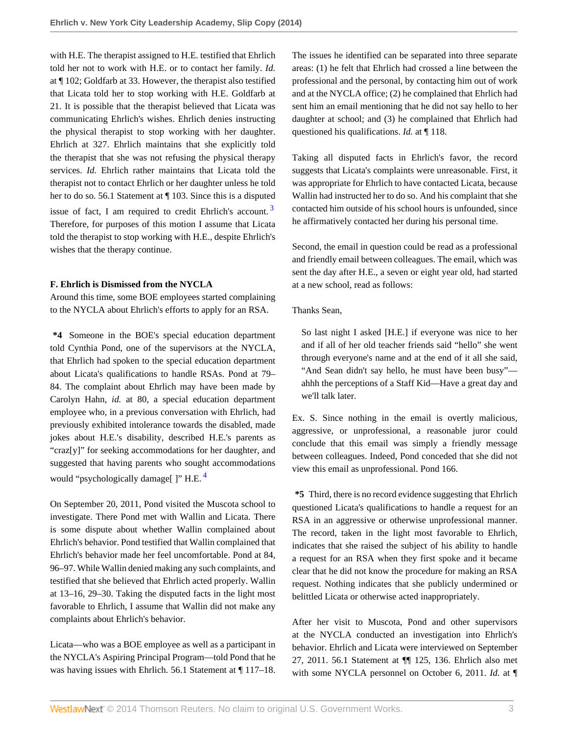with H.E. The therapist assigned to H.E. testified that Ehrlich told her not to work with H.E. or to contact her family. *Id.* at ¶ 102; Goldfarb at 33. However, the therapist also testified that Licata told her to stop working with H.E. Goldfarb at 21. It is possible that the therapist believed that Licata was communicating Ehrlich's wishes. Ehrlich denies instructing the physical therapist to stop working with her daughter. Ehrlich at 327. Ehrlich maintains that she explicitly told the therapist that she was not refusing the physical therapy services. *Id.* Ehrlich rather maintains that Licata told the therapist not to contact Ehrlich or her daughter unless he told her to do so. 56.1 Statement at ¶ 103. Since this is a disputed issue of fact, I am required to credit Ehrlich's account.  $3$ Therefore, for purposes of this motion I assume that Licata told the therapist to stop working with H.E., despite Ehrlich's wishes that the therapy continue.

## **F. Ehrlich is Dismissed from the NYCLA**

Around this time, some BOE employees started complaining to the NYCLA about Ehrlich's efforts to apply for an RSA.

**\*4** Someone in the BOE's special education department told Cynthia Pond, one of the supervisors at the NYCLA, that Ehrlich had spoken to the special education department about Licata's qualifications to handle RSAs. Pond at 79– 84. The complaint about Ehrlich may have been made by Carolyn Hahn, *id.* at 80, a special education department employee who, in a previous conversation with Ehrlich, had previously exhibited intolerance towards the disabled, made jokes about H.E.'s disability, described H.E.'s parents as "craz[y]" for seeking accommodations for her daughter, and suggested that having parents who sought accommodations would "psychologically damage<sup>[]"</sup> H.E.<sup>[4](#page-7-2)</sup>

On September 20, 2011, Pond visited the Muscota school to investigate. There Pond met with Wallin and Licata. There is some dispute about whether Wallin complained about Ehrlich's behavior. Pond testified that Wallin complained that Ehrlich's behavior made her feel uncomfortable. Pond at 84, 96–97. While Wallin denied making any such complaints, and testified that she believed that Ehrlich acted properly. Wallin at 13–16, 29–30. Taking the disputed facts in the light most favorable to Ehrlich, I assume that Wallin did not make any complaints about Ehrlich's behavior.

Licata—who was a BOE employee as well as a participant in the NYCLA's Aspiring Principal Program—told Pond that he was having issues with Ehrlich. 56.1 Statement at ¶ 117–18. The issues he identified can be separated into three separate areas: (1) he felt that Ehrlich had crossed a line between the professional and the personal, by contacting him out of work and at the NYCLA office; (2) he complained that Ehrlich had sent him an email mentioning that he did not say hello to her daughter at school; and (3) he complained that Ehrlich had questioned his qualifications. *Id.* at ¶ 118.

Taking all disputed facts in Ehrlich's favor, the record suggests that Licata's complaints were unreasonable. First, it was appropriate for Ehrlich to have contacted Licata, because Wallin had instructed her to do so. And his complaint that she contacted him outside of his school hours is unfounded, since he affirmatively contacted her during his personal time.

<span id="page-2-0"></span>Second, the email in question could be read as a professional and friendly email between colleagues. The email, which was sent the day after H.E., a seven or eight year old, had started at a new school, read as follows:

## Thanks Sean,

So last night I asked [H.E.] if everyone was nice to her and if all of her old teacher friends said "hello" she went through everyone's name and at the end of it all she said, "And Sean didn't say hello, he must have been busy" ahhh the perceptions of a Staff Kid—Have a great day and we'll talk later.

Ex. S. Since nothing in the email is overtly malicious, aggressive, or unprofessional, a reasonable juror could conclude that this email was simply a friendly message between colleagues. Indeed, Pond conceded that she did not view this email as unprofessional. Pond 166.

<span id="page-2-1"></span>**\*5** Third, there is no record evidence suggesting that Ehrlich questioned Licata's qualifications to handle a request for an RSA in an aggressive or otherwise unprofessional manner. The record, taken in the light most favorable to Ehrlich, indicates that she raised the subject of his ability to handle a request for an RSA when they first spoke and it became clear that he did not know the procedure for making an RSA request. Nothing indicates that she publicly undermined or belittled Licata or otherwise acted inappropriately.

After her visit to Muscota, Pond and other supervisors at the NYCLA conducted an investigation into Ehrlich's behavior. Ehrlich and Licata were interviewed on September 27, 2011. 56.1 Statement at ¶¶ 125, 136. Ehrlich also met with some NYCLA personnel on October 6, 2011. *Id.* at ¶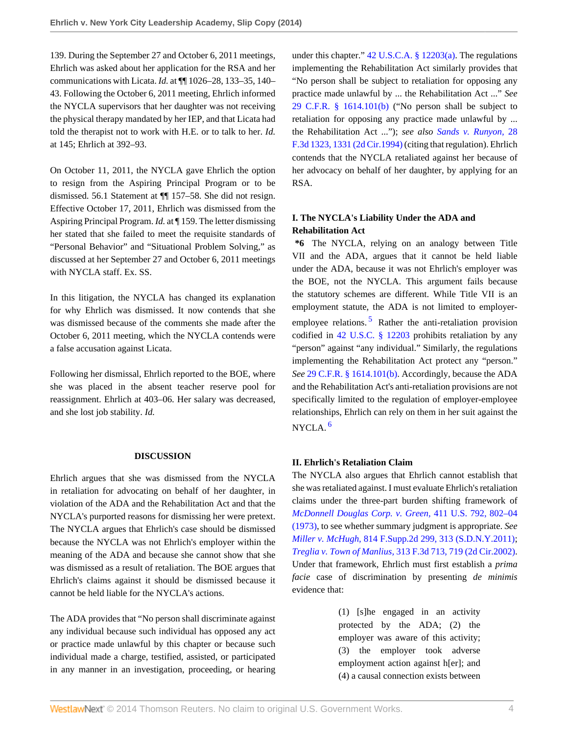139. During the September 27 and October 6, 2011 meetings, Ehrlich was asked about her application for the RSA and her communications with Licata. *Id.* at ¶¶ 1026–28, 133–35, 140– 43. Following the October 6, 2011 meeting, Ehrlich informed the NYCLA supervisors that her daughter was not receiving the physical therapy mandated by her IEP, and that Licata had told the therapist not to work with H.E. or to talk to her. *Id.* at 145; Ehrlich at 392–93.

On October 11, 2011, the NYCLA gave Ehrlich the option to resign from the Aspiring Principal Program or to be dismissed. 56.1 Statement at ¶¶ 157–58. She did not resign. Effective October 17, 2011, Ehrlich was dismissed from the Aspiring Principal Program. *Id.* at ¶ 159. The letter dismissing her stated that she failed to meet the requisite standards of "Personal Behavior" and "Situational Problem Solving," as discussed at her September 27 and October 6, 2011 meetings with NYCLA staff. Ex. SS.

In this litigation, the NYCLA has changed its explanation for why Ehrlich was dismissed. It now contends that she was dismissed because of the comments she made after the October 6, 2011 meeting, which the NYCLA contends were a false accusation against Licata.

Following her dismissal, Ehrlich reported to the BOE, where she was placed in the absent teacher reserve pool for reassignment. Ehrlich at 403–06. Her salary was decreased, and she lost job stability. *Id.*

### **DISCUSSION**

Ehrlich argues that she was dismissed from the NYCLA in retaliation for advocating on behalf of her daughter, in violation of the ADA and the Rehabilitation Act and that the NYCLA's purported reasons for dismissing her were pretext. The NYCLA argues that Ehrlich's case should be dismissed because the NYCLA was not Ehrlich's employer within the meaning of the ADA and because she cannot show that she was dismissed as a result of retaliation. The BOE argues that Ehrlich's claims against it should be dismissed because it cannot be held liable for the NYCLA's actions.

The ADA provides that "No person shall discriminate against any individual because such individual has opposed any act or practice made unlawful by this chapter or because such individual made a charge, testified, assisted, or participated in any manner in an investigation, proceeding, or hearing under this chapter." [42 U.S.C.A. § 12203\(a\).](http://www.westlaw.com/Link/Document/FullText?findType=L&pubNum=1000546&cite=42USCAS12203&originationContext=document&vr=3.0&rs=cblt1.0&transitionType=DocumentItem&contextData=(sc.Search)#co_pp_8b3b0000958a4) The regulations implementing the Rehabilitation Act similarly provides that "No person shall be subject to retaliation for opposing any practice made unlawful by ... the Rehabilitation Act ..." *See* [29 C.F.R. § 1614.101\(b\)](http://www.westlaw.com/Link/Document/FullText?findType=L&pubNum=1000547&cite=29CFRS1614.101&originationContext=document&vr=3.0&rs=cblt1.0&transitionType=DocumentItem&contextData=(sc.Search)#co_pp_a83b000018c76) ("No person shall be subject to retaliation for opposing any practice made unlawful by ... the Rehabilitation Act ..."); *see also [Sands v. Runyon,](http://www.westlaw.com/Link/Document/FullText?findType=Y&serNum=1994146414&pubNum=506&fi=co_pp_sp_506_1331&originationContext=document&vr=3.0&rs=cblt1.0&transitionType=DocumentItem&contextData=(sc.Search)#co_pp_sp_506_1331)* 28 [F.3d 1323, 1331 \(2d Cir.1994\)](http://www.westlaw.com/Link/Document/FullText?findType=Y&serNum=1994146414&pubNum=506&fi=co_pp_sp_506_1331&originationContext=document&vr=3.0&rs=cblt1.0&transitionType=DocumentItem&contextData=(sc.Search)#co_pp_sp_506_1331) (citing that regulation). Ehrlich contends that the NYCLA retaliated against her because of her advocacy on behalf of her daughter, by applying for an RSA.

## **I. The NYCLA's Liability Under the ADA and Rehabilitation Act**

<span id="page-3-0"></span>**\*6** The NYCLA, relying on an analogy between Title VII and the ADA, argues that it cannot be held liable under the ADA, because it was not Ehrlich's employer was the BOE, not the NYCLA. This argument fails because the statutory schemes are different. While Title VII is an employment statute, the ADA is not limited to employer-employee relations.<sup>[5](#page-7-3)</sup> Rather the anti-retaliation provision codified in [42 U.S.C. § 12203](http://www.westlaw.com/Link/Document/FullText?findType=L&pubNum=1000546&cite=42USCAS12203&originatingDoc=I189d39d8f79d11e3b86bd602cb8781fa&refType=LQ&originationContext=document&vr=3.0&rs=cblt1.0&transitionType=DocumentItem&contextData=(sc.Search)) prohibits retaliation by any "person" against "any individual." Similarly, the regulations implementing the Rehabilitation Act protect any "person." *See* [29 C.F.R. § 1614.101\(b\)](http://www.westlaw.com/Link/Document/FullText?findType=L&pubNum=1000547&cite=29CFRS1614.101&originationContext=document&vr=3.0&rs=cblt1.0&transitionType=DocumentItem&contextData=(sc.Search)#co_pp_a83b000018c76). Accordingly, because the ADA and the Rehabilitation Act's anti-retaliation provisions are not specifically limited to the regulation of employer-employee relationships, Ehrlich can rely on them in her suit against the NYCLA. [6](#page-7-4)

### <span id="page-3-1"></span>**II. Ehrlich's Retaliation Claim**

The NYCLA also argues that Ehrlich cannot establish that she was retaliated against. I must evaluate Ehrlich's retaliation claims under the three-part burden shifting framework of *[McDonnell Douglas Corp. v. Green,](http://www.westlaw.com/Link/Document/FullText?findType=Y&serNum=1973126392&pubNum=780&fi=co_pp_sp_780_802&originationContext=document&vr=3.0&rs=cblt1.0&transitionType=DocumentItem&contextData=(sc.Search)#co_pp_sp_780_802)* 411 U.S. 792, 802–04 [\(1973\),](http://www.westlaw.com/Link/Document/FullText?findType=Y&serNum=1973126392&pubNum=780&fi=co_pp_sp_780_802&originationContext=document&vr=3.0&rs=cblt1.0&transitionType=DocumentItem&contextData=(sc.Search)#co_pp_sp_780_802) to see whether summary judgment is appropriate. *See Miller v. McHugh,* [814 F.Supp.2d 299, 313 \(S.D.N.Y.2011\)](http://www.westlaw.com/Link/Document/FullText?findType=Y&serNum=2026155926&pubNum=4637&fi=co_pp_sp_4637_313&originationContext=document&vr=3.0&rs=cblt1.0&transitionType=DocumentItem&contextData=(sc.Search)#co_pp_sp_4637_313); *Treglia v. Town of Manlius,* [313 F.3d 713, 719 \(2d Cir.2002\).](http://www.westlaw.com/Link/Document/FullText?findType=Y&serNum=2002780747&pubNum=506&fi=co_pp_sp_506_719&originationContext=document&vr=3.0&rs=cblt1.0&transitionType=DocumentItem&contextData=(sc.Search)#co_pp_sp_506_719) Under that framework, Ehrlich must first establish a *prima facie* case of discrimination by presenting *de minimis* evidence that:

> (1) [s]he engaged in an activity protected by the ADA; (2) the employer was aware of this activity; (3) the employer took adverse employment action against h[er]; and (4) a causal connection exists between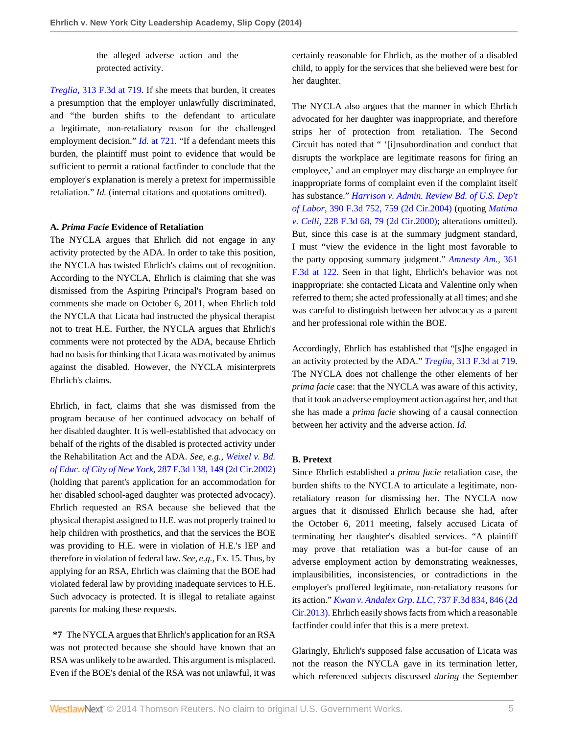the alleged adverse action and the protected activity.

*Treglia,* [313 F.3d at 719.](http://www.westlaw.com/Link/Document/FullText?findType=Y&serNum=2002780747&pubNum=506&fi=co_pp_sp_506_719&originationContext=document&vr=3.0&rs=cblt1.0&transitionType=DocumentItem&contextData=(sc.Search)#co_pp_sp_506_719) If she meets that burden, it creates a presumption that the employer unlawfully discriminated, and "the burden shifts to the defendant to articulate a legitimate, non-retaliatory reason for the challenged employment decision." *Id.* [at 721.](http://www.westlaw.com/Link/Document/FullText?findType=Y&serNum=2002780747&originationContext=document&vr=3.0&rs=cblt1.0&transitionType=DocumentItem&contextData=(sc.Search)) "If a defendant meets this burden, the plaintiff must point to evidence that would be sufficient to permit a rational factfinder to conclude that the employer's explanation is merely a pretext for impermissible retaliation." *Id.* (internal citations and quotations omitted).

### **A.** *Prima Facie* **Evidence of Retaliation**

The NYCLA argues that Ehrlich did not engage in any activity protected by the ADA. In order to take this position, the NYCLA has twisted Ehrlich's claims out of recognition. According to the NYCLA, Ehrlich is claiming that she was dismissed from the Aspiring Principal's Program based on comments she made on October 6, 2011, when Ehrlich told the NYCLA that Licata had instructed the physical therapist not to treat H.E. Further, the NYCLA argues that Ehrlich's comments were not protected by the ADA, because Ehrlich had no basis for thinking that Licata was motivated by animus against the disabled. However, the NYCLA misinterprets Ehrlich's claims.

Ehrlich, in fact, claims that she was dismissed from the program because of her continued advocacy on behalf of her disabled daughter. It is well-established that advocacy on behalf of the rights of the disabled is protected activity under the Rehabilitation Act and the ADA. *See, e.g., [Weixel v. Bd.](http://www.westlaw.com/Link/Document/FullText?findType=Y&serNum=2002224467&pubNum=506&fi=co_pp_sp_506_149&originationContext=document&vr=3.0&rs=cblt1.0&transitionType=DocumentItem&contextData=(sc.Search)#co_pp_sp_506_149) of Educ. of City of New York,* [287 F.3d 138, 149 \(2d Cir.2002\)](http://www.westlaw.com/Link/Document/FullText?findType=Y&serNum=2002224467&pubNum=506&fi=co_pp_sp_506_149&originationContext=document&vr=3.0&rs=cblt1.0&transitionType=DocumentItem&contextData=(sc.Search)#co_pp_sp_506_149) (holding that parent's application for an accommodation for her disabled school-aged daughter was protected advocacy). Ehrlich requested an RSA because she believed that the physical therapist assigned to H.E. was not properly trained to help children with prosthetics, and that the services the BOE was providing to H.E. were in violation of H.E.'s IEP and therefore in violation of federal law. *See, e.g.,* Ex. 15. Thus, by applying for an RSA, Ehrlich was claiming that the BOE had violated federal law by providing inadequate services to H.E. Such advocacy is protected. It is illegal to retaliate against parents for making these requests.

**\*7** The NYCLA argues that Ehrlich's application for an RSA was not protected because she should have known that an RSA was unlikely to be awarded. This argument is misplaced. Even if the BOE's denial of the RSA was not unlawful, it was certainly reasonable for Ehrlich, as the mother of a disabled child, to apply for the services that she believed were best for her daughter.

The NYCLA also argues that the manner in which Ehrlich advocated for her daughter was inappropriate, and therefore strips her of protection from retaliation. The Second Circuit has noted that " '[i]nsubordination and conduct that disrupts the workplace are legitimate reasons for firing an employee,' and an employer may discharge an employee for inappropriate forms of complaint even if the complaint itself has substance." *[Harrison v. Admin. Review Bd. of U.S. Dep't](http://www.westlaw.com/Link/Document/FullText?findType=Y&serNum=2005616041&pubNum=506&fi=co_pp_sp_506_759&originationContext=document&vr=3.0&rs=cblt1.0&transitionType=DocumentItem&contextData=(sc.Search)#co_pp_sp_506_759) of Labor,* [390 F.3d 752, 759 \(2d Cir.2004\)](http://www.westlaw.com/Link/Document/FullText?findType=Y&serNum=2005616041&pubNum=506&fi=co_pp_sp_506_759&originationContext=document&vr=3.0&rs=cblt1.0&transitionType=DocumentItem&contextData=(sc.Search)#co_pp_sp_506_759) (quoting *[Matima](http://www.westlaw.com/Link/Document/FullText?findType=Y&serNum=2000524724&pubNum=506&fi=co_pp_sp_506_79&originationContext=document&vr=3.0&rs=cblt1.0&transitionType=DocumentItem&contextData=(sc.Search)#co_pp_sp_506_79) v. Celli,* [228 F.3d 68, 79 \(2d Cir.2000\)](http://www.westlaw.com/Link/Document/FullText?findType=Y&serNum=2000524724&pubNum=506&fi=co_pp_sp_506_79&originationContext=document&vr=3.0&rs=cblt1.0&transitionType=DocumentItem&contextData=(sc.Search)#co_pp_sp_506_79); alterations omitted). But, since this case is at the summary judgment standard, I must "view the evidence in the light most favorable to the party opposing summary judgment." *[Amnesty Am.,](http://www.westlaw.com/Link/Document/FullText?findType=Y&serNum=2004222229&pubNum=506&fi=co_pp_sp_506_122&originationContext=document&vr=3.0&rs=cblt1.0&transitionType=DocumentItem&contextData=(sc.Search)#co_pp_sp_506_122)* 361 [F.3d at 122](http://www.westlaw.com/Link/Document/FullText?findType=Y&serNum=2004222229&pubNum=506&fi=co_pp_sp_506_122&originationContext=document&vr=3.0&rs=cblt1.0&transitionType=DocumentItem&contextData=(sc.Search)#co_pp_sp_506_122). Seen in that light, Ehrlich's behavior was not inappropriate: she contacted Licata and Valentine only when referred to them; she acted professionally at all times; and she was careful to distinguish between her advocacy as a parent and her professional role within the BOE.

Accordingly, Ehrlich has established that "[s]he engaged in an activity protected by the ADA." *Treglia,* [313 F.3d at 719.](http://www.westlaw.com/Link/Document/FullText?findType=Y&serNum=2002780747&pubNum=506&fi=co_pp_sp_506_719&originationContext=document&vr=3.0&rs=cblt1.0&transitionType=DocumentItem&contextData=(sc.Search)#co_pp_sp_506_719) The NYCLA does not challenge the other elements of her *prima facie* case: that the NYCLA was aware of this activity, that it took an adverse employment action against her, and that she has made a *prima facie* showing of a causal connection between her activity and the adverse action. *Id.*

### **B. Pretext**

Since Ehrlich established a *prima facie* retaliation case, the burden shifts to the NYCLA to articulate a legitimate, nonretaliatory reason for dismissing her. The NYCLA now argues that it dismissed Ehrlich because she had, after the October 6, 2011 meeting, falsely accused Licata of terminating her daughter's disabled services. "A plaintiff may prove that retaliation was a but-for cause of an adverse employment action by demonstrating weaknesses, implausibilities, inconsistencies, or contradictions in the employer's proffered legitimate, non-retaliatory reasons for its action." *[Kwan v. Andalex Grp. LLC,](http://www.westlaw.com/Link/Document/FullText?findType=Y&serNum=2032305377&pubNum=506&fi=co_pp_sp_506_846&originationContext=document&vr=3.0&rs=cblt1.0&transitionType=DocumentItem&contextData=(sc.Search)#co_pp_sp_506_846)* 737 F.3d 834, 846 (2d [Cir.2013\).](http://www.westlaw.com/Link/Document/FullText?findType=Y&serNum=2032305377&pubNum=506&fi=co_pp_sp_506_846&originationContext=document&vr=3.0&rs=cblt1.0&transitionType=DocumentItem&contextData=(sc.Search)#co_pp_sp_506_846) Ehrlich easily shows facts from which a reasonable factfinder could infer that this is a mere pretext.

Glaringly, Ehrlich's supposed false accusation of Licata was not the reason the NYCLA gave in its termination letter, which referenced subjects discussed *during* the September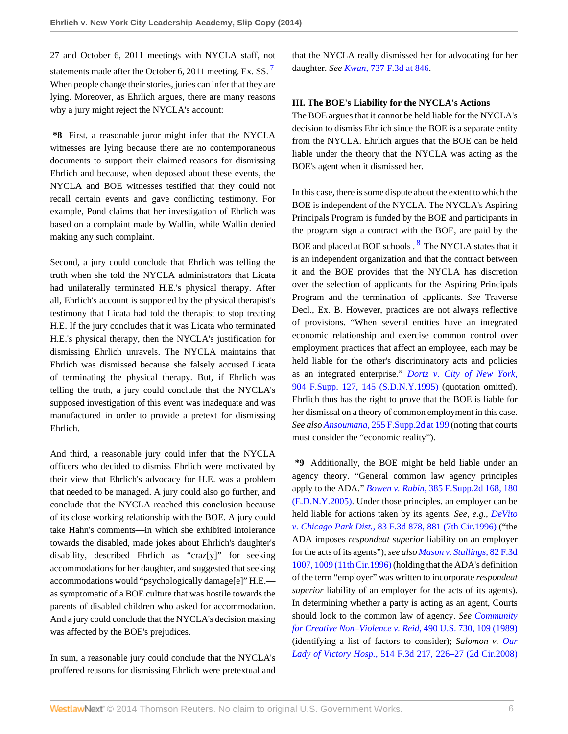27 and October 6, 2011 meetings with NYCLA staff, not statements made after the October 6, 2011 meeting. Ex. SS.<sup>[7](#page-7-5)</sup> When people change their stories, juries can infer that they are lying. Moreover, as Ehrlich argues, there are many reasons why a jury might reject the NYCLA's account:

**\*8** First, a reasonable juror might infer that the NYCLA witnesses are lying because there are no contemporaneous documents to support their claimed reasons for dismissing Ehrlich and because, when deposed about these events, the NYCLA and BOE witnesses testified that they could not recall certain events and gave conflicting testimony. For example, Pond claims that her investigation of Ehrlich was based on a complaint made by Wallin, while Wallin denied making any such complaint.

Second, a jury could conclude that Ehrlich was telling the truth when she told the NYCLA administrators that Licata had unilaterally terminated H.E.'s physical therapy. After all, Ehrlich's account is supported by the physical therapist's testimony that Licata had told the therapist to stop treating H.E. If the jury concludes that it was Licata who terminated H.E.'s physical therapy, then the NYCLA's justification for dismissing Ehrlich unravels. The NYCLA maintains that Ehrlich was dismissed because she falsely accused Licata of terminating the physical therapy. But, if Ehrlich was telling the truth, a jury could conclude that the NYCLA's supposed investigation of this event was inadequate and was manufactured in order to provide a pretext for dismissing Ehrlich.

And third, a reasonable jury could infer that the NYCLA officers who decided to dismiss Ehrlich were motivated by their view that Ehrlich's advocacy for H.E. was a problem that needed to be managed. A jury could also go further, and conclude that the NYCLA reached this conclusion because of its close working relationship with the BOE. A jury could take Hahn's comments—in which she exhibited intolerance towards the disabled, made jokes about Ehrlich's daughter's disability, described Ehrlich as "craz[y]" for seeking accommodations for her daughter, and suggested that seeking accommodations would "psychologically damage[e]" H.E. as symptomatic of a BOE culture that was hostile towards the parents of disabled children who asked for accommodation. And a jury could conclude that the NYCLA's decision making was affected by the BOE's prejudices.

In sum, a reasonable jury could conclude that the NYCLA's proffered reasons for dismissing Ehrlich were pretextual and <span id="page-5-0"></span>that the NYCLA really dismissed her for advocating for her daughter. *See Kwan,* [737 F.3d at 846](http://www.westlaw.com/Link/Document/FullText?findType=Y&serNum=2032305377&pubNum=506&fi=co_pp_sp_506_846&originationContext=document&vr=3.0&rs=cblt1.0&transitionType=DocumentItem&contextData=(sc.Search)#co_pp_sp_506_846).

## **III. The BOE's Liability for the NYCLA's Actions**

The BOE argues that it cannot be held liable for the NYCLA's decision to dismiss Ehrlich since the BOE is a separate entity from the NYCLA. Ehrlich argues that the BOE can be held liable under the theory that the NYCLA was acting as the BOE's agent when it dismissed her.

<span id="page-5-1"></span>In this case, there is some dispute about the extent to which the BOE is independent of the NYCLA. The NYCLA's Aspiring Principals Program is funded by the BOE and participants in the program sign a contract with the BOE, are paid by the BOE and placed at BOE schools . <sup>[8](#page-7-6)</sup> The NYCLA states that it is an independent organization and that the contract between it and the BOE provides that the NYCLA has discretion over the selection of applicants for the Aspiring Principals Program and the termination of applicants. *See* Traverse Decl., Ex. B. However, practices are not always reflective of provisions. "When several entities have an integrated economic relationship and exercise common control over employment practices that affect an employee, each may be held liable for the other's discriminatory acts and policies as an integrated enterprise." *[Dortz v. City of New York,](http://www.westlaw.com/Link/Document/FullText?findType=Y&serNum=1995201373&pubNum=345&fi=co_pp_sp_345_145&originationContext=document&vr=3.0&rs=cblt1.0&transitionType=DocumentItem&contextData=(sc.Search)#co_pp_sp_345_145)* [904 F.Supp. 127, 145 \(S.D.N.Y.1995\)](http://www.westlaw.com/Link/Document/FullText?findType=Y&serNum=1995201373&pubNum=345&fi=co_pp_sp_345_145&originationContext=document&vr=3.0&rs=cblt1.0&transitionType=DocumentItem&contextData=(sc.Search)#co_pp_sp_345_145) (quotation omitted). Ehrlich thus has the right to prove that the BOE is liable for her dismissal on a theory of common employment in this case. *See also Ansoumana,* [255 F.Supp.2d at 199](http://www.westlaw.com/Link/Document/FullText?findType=Y&serNum=2003211255&pubNum=4637&fi=co_pp_sp_4637_199&originationContext=document&vr=3.0&rs=cblt1.0&transitionType=DocumentItem&contextData=(sc.Search)#co_pp_sp_4637_199) (noting that courts must consider the "economic reality").

**\*9** Additionally, the BOE might be held liable under an agency theory. "General common law agency principles apply to the ADA." *Bowen v. Rubin,* [385 F.Supp.2d 168, 180](http://www.westlaw.com/Link/Document/FullText?findType=Y&serNum=2007095147&pubNum=4637&fi=co_pp_sp_4637_180&originationContext=document&vr=3.0&rs=cblt1.0&transitionType=DocumentItem&contextData=(sc.Search)#co_pp_sp_4637_180) [\(E.D.N.Y.2005\)](http://www.westlaw.com/Link/Document/FullText?findType=Y&serNum=2007095147&pubNum=4637&fi=co_pp_sp_4637_180&originationContext=document&vr=3.0&rs=cblt1.0&transitionType=DocumentItem&contextData=(sc.Search)#co_pp_sp_4637_180). Under those principles, an employer can be held liable for actions taken by its agents. *See, e.g., [DeVito](http://www.westlaw.com/Link/Document/FullText?findType=Y&serNum=1996113812&pubNum=506&fi=co_pp_sp_506_881&originationContext=document&vr=3.0&rs=cblt1.0&transitionType=DocumentItem&contextData=(sc.Search)#co_pp_sp_506_881) v. Chicago Park Dist.,* [83 F.3d 878, 881 \(7th Cir.1996\)](http://www.westlaw.com/Link/Document/FullText?findType=Y&serNum=1996113812&pubNum=506&fi=co_pp_sp_506_881&originationContext=document&vr=3.0&rs=cblt1.0&transitionType=DocumentItem&contextData=(sc.Search)#co_pp_sp_506_881) ("the ADA imposes *respondeat superior* liability on an employer for the acts of its agents"); *see also [Mason v. Stallings,](http://www.westlaw.com/Link/Document/FullText?findType=Y&serNum=1996101124&pubNum=506&fi=co_pp_sp_506_1009&originationContext=document&vr=3.0&rs=cblt1.0&transitionType=DocumentItem&contextData=(sc.Search)#co_pp_sp_506_1009)* 82 F.3d [1007, 1009 \(11th Cir.1996\)](http://www.westlaw.com/Link/Document/FullText?findType=Y&serNum=1996101124&pubNum=506&fi=co_pp_sp_506_1009&originationContext=document&vr=3.0&rs=cblt1.0&transitionType=DocumentItem&contextData=(sc.Search)#co_pp_sp_506_1009) (holding that the ADA's definition of the term "employer" was written to incorporate *respondeat superior* liability of an employer for the acts of its agents). In determining whether a party is acting as an agent, Courts should look to the common law of agency. *See [Community](http://www.westlaw.com/Link/Document/FullText?findType=Y&serNum=1989082504&pubNum=780&originationContext=document&vr=3.0&rs=cblt1.0&transitionType=DocumentItem&contextData=(sc.Search)) [for Creative Non–Violence v. Reid,](http://www.westlaw.com/Link/Document/FullText?findType=Y&serNum=1989082504&pubNum=780&originationContext=document&vr=3.0&rs=cblt1.0&transitionType=DocumentItem&contextData=(sc.Search))* 490 U.S. 730, 109 (1989) (identifying a list of factors to consider); *Salomon v. [Our](http://www.westlaw.com/Link/Document/FullText?findType=Y&serNum=2014915401&pubNum=506&fi=co_pp_sp_506_226&originationContext=document&vr=3.0&rs=cblt1.0&transitionType=DocumentItem&contextData=(sc.Search)#co_pp_sp_506_226) Lady of Victory Hosp.,* [514 F.3d 217, 226–27 \(2d Cir.2008\)](http://www.westlaw.com/Link/Document/FullText?findType=Y&serNum=2014915401&pubNum=506&fi=co_pp_sp_506_226&originationContext=document&vr=3.0&rs=cblt1.0&transitionType=DocumentItem&contextData=(sc.Search)#co_pp_sp_506_226)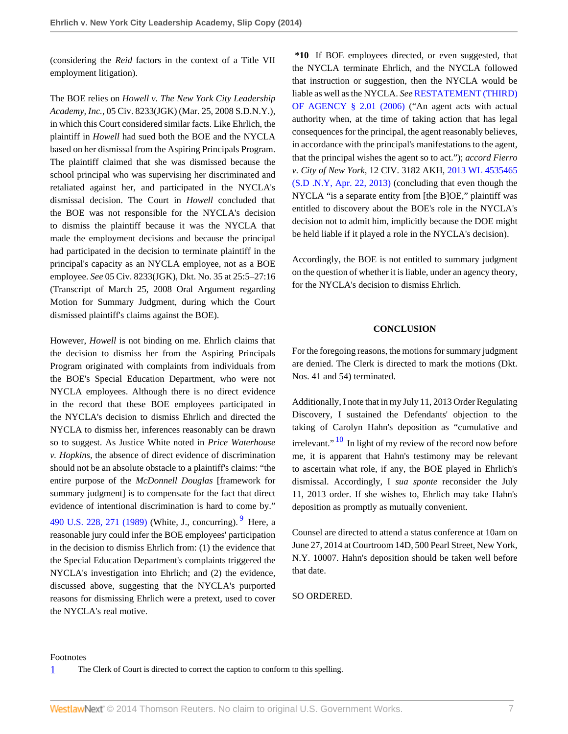(considering the *Reid* factors in the context of a Title VII employment litigation).

The BOE relies on *Howell v. The New York City Leadership Academy, Inc.,* 05 Civ. 8233(JGK) (Mar. 25, 2008 S.D.N.Y.), in which this Court considered similar facts. Like Ehrlich, the plaintiff in *Howell* had sued both the BOE and the NYCLA based on her dismissal from the Aspiring Principals Program. The plaintiff claimed that she was dismissed because the school principal who was supervising her discriminated and retaliated against her, and participated in the NYCLA's dismissal decision. The Court in *Howell* concluded that the BOE was not responsible for the NYCLA's decision to dismiss the plaintiff because it was the NYCLA that made the employment decisions and because the principal had participated in the decision to terminate plaintiff in the principal's capacity as an NYCLA employee, not as a BOE employee. *See* 05 Civ. 8233(JGK), Dkt. No. 35 at 25:5–27:16 (Transcript of March 25, 2008 Oral Argument regarding Motion for Summary Judgment, during which the Court dismissed plaintiff's claims against the BOE).

However, *Howell* is not binding on me. Ehrlich claims that the decision to dismiss her from the Aspiring Principals Program originated with complaints from individuals from the BOE's Special Education Department, who were not NYCLA employees. Although there is no direct evidence in the record that these BOE employees participated in the NYCLA's decision to dismiss Ehrlich and directed the NYCLA to dismiss her, inferences reasonably can be drawn so to suggest. As Justice White noted in *Price Waterhouse v. Hopkins,* the absence of direct evidence of discrimination should not be an absolute obstacle to a plaintiff's claims: "the entire purpose of the *McDonnell Douglas* [framework for summary judgment] is to compensate for the fact that direct evidence of intentional discrimination is hard to come by." [490 U.S. 228, 271 \(1989\)](http://www.westlaw.com/Link/Document/FullText?findType=Y&serNum=1989063356&pubNum=780&fi=co_pp_sp_780_271&originationContext=document&vr=3.0&rs=cblt1.0&transitionType=DocumentItem&contextData=(sc.Search)#co_pp_sp_780_271) (White, J., concurring). <sup>[9](#page-7-7)</sup> Here, a reasonable jury could infer the BOE employees' participation in the decision to dismiss Ehrlich from: (1) the evidence that the Special Education Department's complaints triggered the NYCLA's investigation into Ehrlich; and (2) the evidence, discussed above, suggesting that the NYCLA's purported reasons for dismissing Ehrlich were a pretext, used to cover the NYCLA's real motive.

**\*10** If BOE employees directed, or even suggested, that the NYCLA terminate Ehrlich, and the NYCLA followed that instruction or suggestion, then the NYCLA would be liable as well as the NYCLA. *See* [RESTATEMENT \(THIRD\)](http://www.westlaw.com/Link/Document/FullText?findType=Y&serNum=0288873507&pubNum=0134551&originationContext=document&vr=3.0&rs=cblt1.0&transitionType=DocumentItem&contextData=(sc.Search)) [OF AGENCY § 2.01 \(2006\)](http://www.westlaw.com/Link/Document/FullText?findType=Y&serNum=0288873507&pubNum=0134551&originationContext=document&vr=3.0&rs=cblt1.0&transitionType=DocumentItem&contextData=(sc.Search)) ("An agent acts with actual authority when, at the time of taking action that has legal consequences for the principal, the agent reasonably believes, in accordance with the principal's manifestations to the agent, that the principal wishes the agent so to act."); *accord Fierro v. City of New York,* 12 CIV. 3182 AKH, [2013 WL 4535465](http://www.westlaw.com/Link/Document/FullText?findType=Y&serNum=2031369239&pubNum=0000999&originationContext=document&vr=3.0&rs=cblt1.0&transitionType=DocumentItem&contextData=(sc.Search)) [\(S.D .N.Y, Apr. 22, 2013\)](http://www.westlaw.com/Link/Document/FullText?findType=Y&serNum=2031369239&pubNum=0000999&originationContext=document&vr=3.0&rs=cblt1.0&transitionType=DocumentItem&contextData=(sc.Search)) (concluding that even though the NYCLA "is a separate entity from [the B]OE," plaintiff was entitled to discovery about the BOE's role in the NYCLA's decision not to admit him, implicitly because the DOE might be held liable if it played a role in the NYCLA's decision).

Accordingly, the BOE is not entitled to summary judgment on the question of whether it is liable, under an agency theory, for the NYCLA's decision to dismiss Ehrlich.

### **CONCLUSION**

For the foregoing reasons, the motions for summary judgment are denied. The Clerk is directed to mark the motions (Dkt. Nos. 41 and 54) terminated.

<span id="page-6-2"></span>Additionally, I note that in my July 11, 2013 Order Regulating Discovery, I sustained the Defendants' objection to the taking of Carolyn Hahn's deposition as "cumulative and irrelevant."  $\frac{10}{10}$  $\frac{10}{10}$  $\frac{10}{10}$  In light of my review of the record now before me, it is apparent that Hahn's testimony may be relevant to ascertain what role, if any, the BOE played in Ehrlich's dismissal. Accordingly, I *sua sponte* reconsider the July 11, 2013 order. If she wishes to, Ehrlich may take Hahn's deposition as promptly as mutually convenient.

<span id="page-6-1"></span>Counsel are directed to attend a status conference at 10am on June 27, 2014 at Courtroom 14D, 500 Pearl Street, New York, N.Y. 10007. Hahn's deposition should be taken well before that date.

SO ORDERED.

#### Footnotes

<span id="page-6-0"></span>[1](#page-0-0) The Clerk of Court is directed to correct the caption to conform to this spelling.